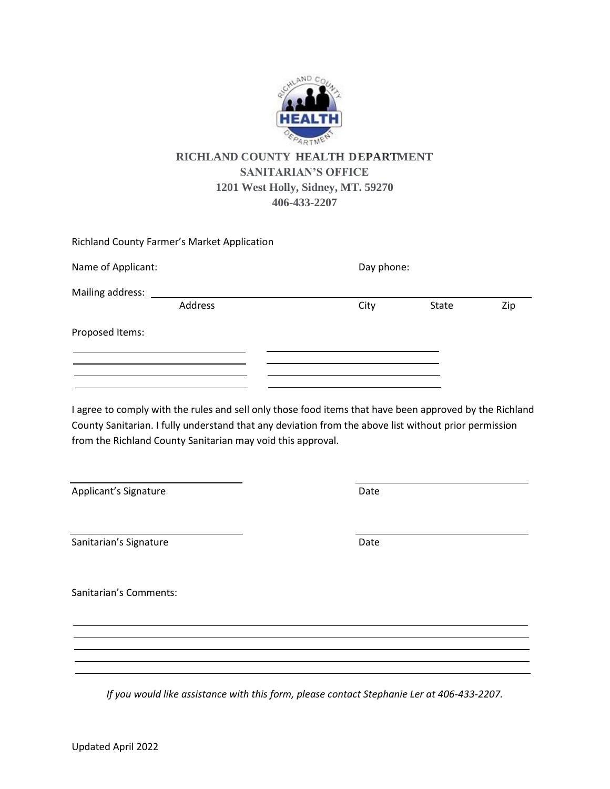

## **RICHLAND COUNTY HEALTH DEPARTMENT SANITARIAN'S OFFICE 1201 West Holly, Sidney, MT. 59270 406-433-2207**

|                    | Richland County Farmer's Market Application |      |            |     |  |
|--------------------|---------------------------------------------|------|------------|-----|--|
| Name of Applicant: |                                             |      | Day phone: |     |  |
| Mailing address:   |                                             |      |            |     |  |
|                    | Address                                     | City | State      | Zip |  |
| Proposed Items:    |                                             |      |            |     |  |
|                    |                                             |      |            |     |  |
|                    |                                             |      |            |     |  |

I agree to comply with the rules and sell only those food items that have been approved by the Richland County Sanitarian. I fully understand that any deviation from the above list without prior permission from the Richland County Sanitarian may void this approval.

Applicant's Signature Date

Sanitarian's Signature Date Date

Sanitarian's Comments:

*If you would like assistance with this form, please contact Stephanie Ler at 406-433-2207.*